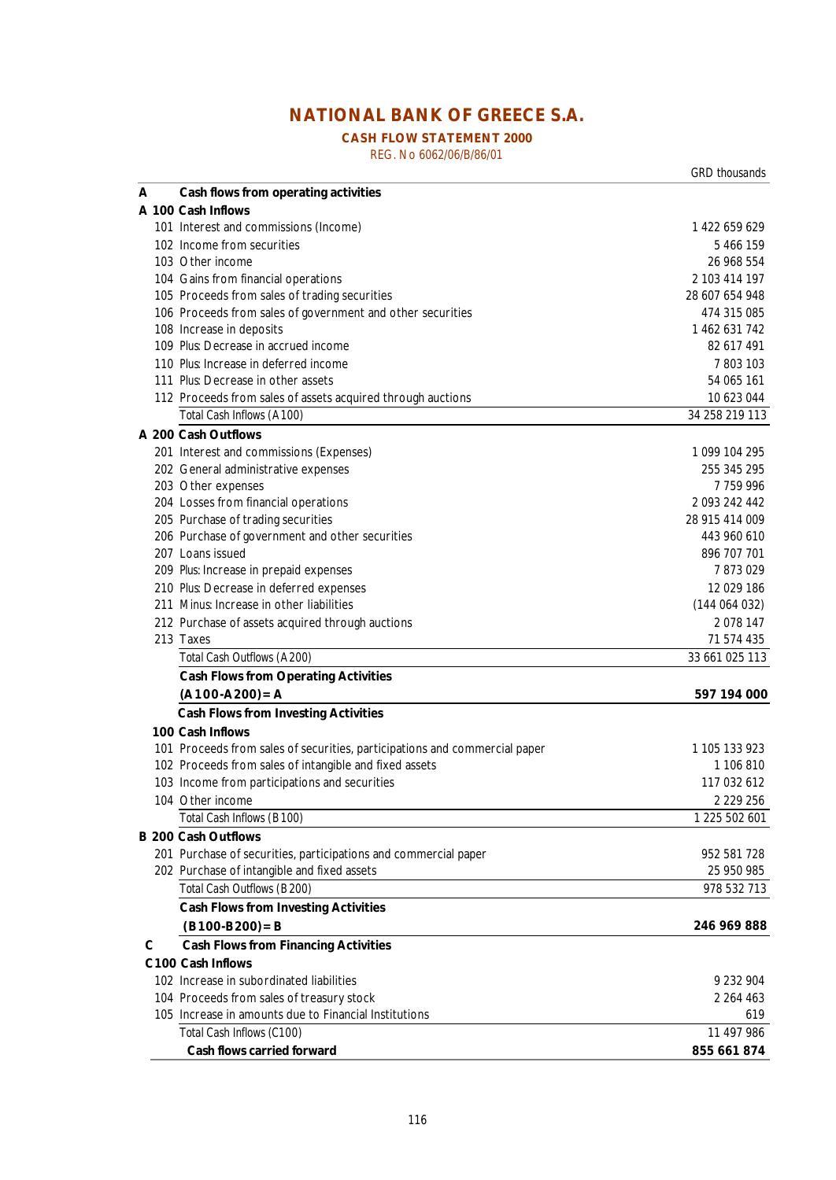# **NATIONAL BANK OF GREECE S.A.**

## **CASH FLOW STATEMENT 2000**

REG. No 6062/06/B/86/01

|   |                                                                            | GRD thousands  |
|---|----------------------------------------------------------------------------|----------------|
| A | Cash flows from operating activities                                       |                |
|   | A 100 Cash Inflows                                                         |                |
|   | 101 Interest and commissions (Income)                                      | 1 422 659 629  |
|   | 102 Income from securities                                                 | 5 466 159      |
|   | 103 Other income                                                           | 26 968 554     |
|   | 104 Gains from financial operations                                        | 2 103 414 197  |
|   | 105 Proceeds from sales of trading securities                              | 28 607 654 948 |
|   | 106 Proceeds from sales of government and other securities                 | 474 315 085    |
|   | 108 Increase in deposits                                                   | 1 462 631 742  |
|   | 109 Plus Decrease in accrued income                                        | 82 617 491     |
|   | 110 Plus Increase in deferred income                                       | 7803103        |
|   | 111 <i>Plus</i> Decrease in other assets                                   | 54 065 161     |
|   | 112 Proceeds from sales of assets acquired through auctions                | 10 623 044     |
|   | Total Cash Inflows (A 100)                                                 | 34 258 219 113 |
|   | A 200 Cash Outflows                                                        |                |
|   | 201 Interest and commissions (Expenses)                                    | 1 099 104 295  |
|   | 202 General administrative expenses                                        | 255 345 295    |
|   | 203 Other expenses                                                         | 7759996        |
|   | 204 Losses from financial operations                                       | 2 093 242 442  |
|   | 205 Purchase of trading securities                                         | 28 915 414 009 |
|   | 206 Purchase of government and other securities                            | 443 960 610    |
|   | 207 Loans issued                                                           | 896 707 701    |
|   | 209 Plus: Increase in prepaid expenses                                     | 7873029        |
|   | 210 Plus Decrease in deferred expenses                                     | 12 029 186     |
|   | 211 Minus Increase in other liabilities                                    | (144064032)    |
|   | 212 Purchase of assets acquired through auctions                           | 2078 147       |
|   | 213 Taxes                                                                  | 71 574 435     |
|   | Total Cash Outflows (A 200)                                                | 33 661 025 113 |
|   | <b>Cash Flows from Operating Activities</b>                                |                |
|   | $(A100-A200)=A$                                                            | 597 194 000    |
|   | <b>Cash Flows from Investing Activities</b>                                |                |
|   | 100 Cash Inflows                                                           |                |
|   | 101 Proceeds from sales of securities, participations and commercial paper | 1 105 133 923  |
|   | 102 Proceeds from sales of intangible and fixed assets                     | 1 106 810      |
|   | 103 Income from participations and securities                              | 117 032 612    |
|   | 104 Other income                                                           | 2 2 2 9 2 5 6  |
|   | Total Cash Inflows (B 100)                                                 | 1 225 502 601  |
|   | <b>B 200 Cash Outflows</b>                                                 |                |
|   | 201 Purchase of securities, participations and commercial paper            | 952 581 728    |
|   | 202 Purchase of intangible and fixed assets                                | 25 950 985     |
|   | Total Cash Outflows (B 200)                                                | 978 532 713    |
|   | <b>Cash Flows from Investing Activities</b>                                |                |
|   |                                                                            |                |
|   | $(B100-B200) = B$                                                          | 246 969 888    |
| С | <b>Cash Flows from Financing Activities</b>                                |                |
|   | C100 Cash Inflows                                                          |                |
|   | 102 Increase in subordinated liabilities                                   | 9 232 904      |
|   | 104 Proceeds from sales of treasury stock                                  | 2 2 6 4 4 6 3  |
|   | 105 Increase in amounts due to Financial Institutions                      | 619            |
|   | Total Cash Inflows (C100)                                                  | 11 497 986     |

 **Cash flows carried forward 855 661 874**